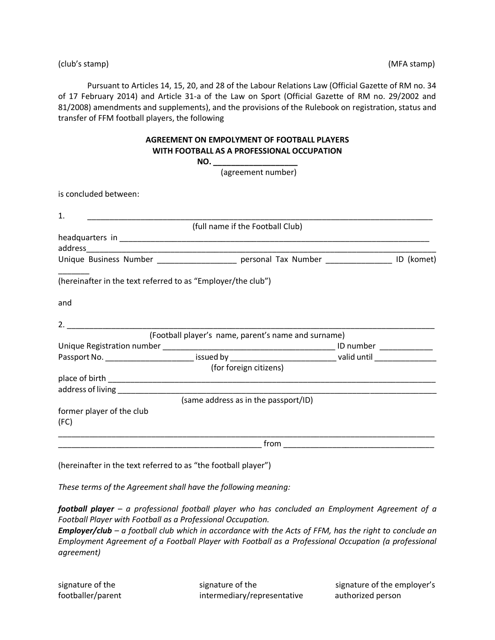(club's stamp) (MFA stamp)

Pursuant to Articles 14, 15, 20, and 28 of the Labour Relations Law (Official Gazette of RM no. 34 of 17 February 2014) and Article 31-a of the Law on Sport (Official Gazette of RM no. 29/2002 and 81/2008) amendments and supplements), and the provisions of the Rulebook on registration, status and transfer of FFM football players, the following

|                                   | <b>AGREEMENT ON EMPOLYMENT OF FOOTBALL PLAYERS</b><br>WITH FOOTBALL AS A PROFESSIONAL OCCUPATION |  |
|-----------------------------------|--------------------------------------------------------------------------------------------------|--|
|                                   | NO. _______________________                                                                      |  |
|                                   | (agreement number)                                                                               |  |
| is concluded between:             |                                                                                                  |  |
| 1.                                |                                                                                                  |  |
|                                   | (full name if the Football Club)                                                                 |  |
|                                   |                                                                                                  |  |
|                                   |                                                                                                  |  |
|                                   | Unique Business Number ______________________ personal Tax Number ________________ ID (komet)    |  |
| and                               |                                                                                                  |  |
|                                   | (Football player's name, parent's name and surname)                                              |  |
|                                   |                                                                                                  |  |
|                                   |                                                                                                  |  |
|                                   | (for foreign citizens)                                                                           |  |
|                                   |                                                                                                  |  |
|                                   |                                                                                                  |  |
|                                   | (same address as in the passport/ID)                                                             |  |
| former player of the club<br>(FC) |                                                                                                  |  |
|                                   |                                                                                                  |  |

(hereinafter in the text referred to as "the football player")

*These terms of the Agreement shall have the following meaning:*

*football player – a professional football player who has concluded an Employment Agreement of a Football Player with Football as a Professional Occupation.*

*Employer/club – a football club which in accordance with the Acts of FFM, has the right to conclude an Employment Agreement of a Football Player with Football as a Professional Occupation (a professional agreement)*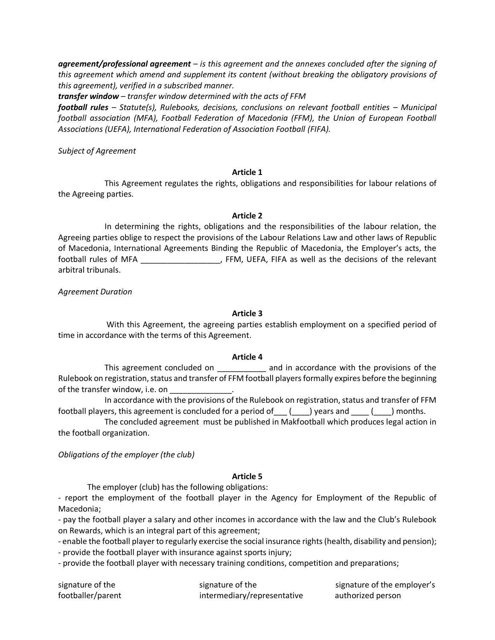*agreement/professional agreement – is this agreement and the annexes concluded after the signing of this agreement which amend and supplement its content (without breaking the obligatory provisions of this agreement), verified in a subscribed manner.*

*transfer window – transfer window determined with the acts of FFM*

*football rules – Statute(s), Rulebooks, decisions, conclusions on relevant football entities – Municipal football association (MFA), Football Federation of Macedonia (FFM), the Union of European Football Associations (UEFA), International Federation of Association Football (FIFA).*

*Subject of Agreement*

### **Article 1**

This Agreement regulates the rights, obligations and responsibilities for labour relations of the Agreeing parties.

### **Article 2**

In determining the rights, obligations and the responsibilities of the labour relation, the Agreeing parties oblige to respect the provisions of the Labour Relations Law and other laws of Republic of Macedonia, International Agreements Binding the Republic of Macedonia, the Employer's acts, the football rules of MFA \_\_\_\_\_\_\_\_\_\_\_\_\_\_\_\_\_\_, FFM, UEFA, FIFA as well as the decisions of the relevant arbitral tribunals.

*Agreement Duration*

### **Article 3**

With this Agreement, the agreeing parties establish employment on a specified period of time in accordance with the terms of this Agreement.

### **Article 4**

This agreement concluded on \_\_\_\_\_\_\_\_\_\_\_ and in accordance with the provisions of the Rulebook on registration, status and transfer of FFM football players formally expires before the beginning of the transfer window, i.e. on

In accordance with the provisions of the Rulebook on registration, status and transfer of FFM football players, this agreement is concluded for a period of  $\qquad$  (  $\qquad$  ) years and  $\qquad$  (  $\qquad$  ) months.

The concluded agreement must be published in Makfootball which produces legal action in the football organization.

*Obligations of the employer (the club)*

### **Article 5**

The employer (club) has the following obligations:

- report the employment of the football player in the Agency for Employment of the Republic of Macedonia;

- pay the football player a salary and other incomes in accordance with the law and the Club's Rulebook on Rewards, which is an integral part of this agreement;

- enable the football player to regularly exercise the social insurance rights (health, disability and pension);

- provide the football player with insurance against sports injury;

- provide the football player with necessary training conditions, competition and preparations;

footballer/parent intermediary/representative authorized person

signature of the signature of the signature of the signature of the employer's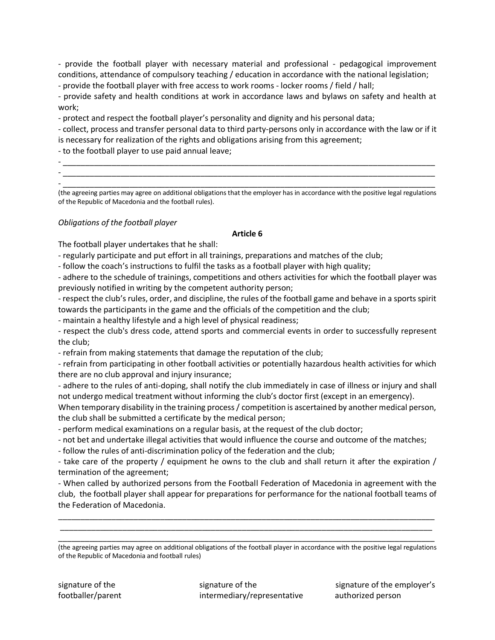- provide the football player with necessary material and professional - pedagogical improvement conditions, attendance of compulsory teaching / education in accordance with the national legislation;

- provide the football player with free access to work rooms - locker rooms / field / hall;

- provide safety and health conditions at work in accordance laws and bylaws on safety and health at work;

- protect and respect the football player's personality and dignity and his personal data;

- collect, process and transfer personal data to third party-persons only in accordance with the law or if it is necessary for realization of the rights and obligations arising from this agreement;

- to the football player to use paid annual leave;

- \_\_\_\_\_\_\_\_\_\_\_\_\_\_\_\_\_\_\_\_\_\_\_\_\_\_\_\_\_\_\_\_\_\_\_\_\_\_\_\_\_\_\_\_\_\_\_\_\_\_\_\_\_\_\_\_\_\_\_\_\_\_\_\_\_\_\_\_\_\_\_\_\_\_\_\_\_\_\_\_\_\_\_\_ - \_\_\_\_\_\_\_\_\_\_\_\_\_\_\_\_\_\_\_\_\_\_\_\_\_\_\_\_\_\_\_\_\_\_\_\_\_\_\_\_\_\_\_\_\_\_\_\_\_\_\_\_\_\_\_\_\_\_\_\_\_\_\_\_\_\_\_\_\_\_\_\_\_\_\_\_\_\_\_\_\_\_\_\_ - \_\_\_\_\_\_\_\_\_\_\_\_\_\_\_\_\_\_\_\_\_\_\_\_\_\_\_\_\_\_\_\_\_\_\_\_\_\_\_\_\_\_\_\_\_\_\_\_\_\_\_\_\_\_\_\_\_\_\_\_\_\_\_\_\_\_\_\_\_\_\_\_\_\_\_\_\_\_\_\_\_\_\_\_

(the agreeing parties may agree on additional obligations that the employer has in accordance with the positive legal regulations of the Republic of Macedonia and the football rules).

# *Obligations of the football player*

## **Article 6**

The football player undertakes that he shall:

- regularly participate and put effort in all trainings, preparations and matches of the club;

- follow the coach's instructions to fulfil the tasks as a football player with high quality;

- adhere to the schedule of trainings, competitions and others activities for which the football player was previously notified in writing by the competent authority person;

- respect the club's rules, order, and discipline, the rules of the football game and behave in a sports spirit towards the participants in the game and the officials of the competition and the club;

- maintain a healthy lifestyle and a high level of physical readiness;

- respect the club's dress code, attend sports and commercial events in order to successfully represent the club;

- refrain from making statements that damage the reputation of the club;

- refrain from participating in other football activities or potentially hazardous health activities for which there are no club approval and injury insurance;

- adhere to the rules of anti-doping, shall notify the club immediately in case of illness or injury and shall not undergo medical treatment without informing the club's doctor first (except in an emergency).

When temporary disability in the training process / competition is ascertained by another medical person, the club shall be submitted a certificate by the medical person;

- perform medical examinations on a regular basis, at the request of the club doctor;

- not bet and undertake illegal activities that would influence the course and outcome of the matches;

- follow the rules of anti-discrimination policy of the federation and the club;

- take care of the property / equipment he owns to the club and shall return it after the expiration / termination of the agreement;

- When called by authorized persons from the Football Federation of Macedonia in agreement with the club, the football player shall appear for preparations for performance for the national football teams of the Federation of Macedonia.

\_\_\_\_\_\_\_\_\_\_\_\_\_\_\_\_\_\_\_\_\_\_\_\_\_\_\_\_\_\_\_\_\_\_\_\_\_\_\_\_\_\_\_\_\_\_\_\_\_\_\_\_\_\_\_\_\_\_\_\_\_\_\_\_\_\_\_\_\_\_\_\_\_\_\_\_\_\_\_\_\_\_\_\_\_ \_\_\_\_\_\_\_\_\_\_\_\_\_\_\_\_\_\_\_\_\_\_\_\_\_\_\_\_\_\_\_\_\_\_\_\_\_\_\_\_\_\_\_\_\_\_\_\_\_\_\_\_\_\_\_\_\_\_\_\_\_\_\_\_\_\_\_\_\_\_\_\_\_\_\_\_\_\_\_\_\_\_\_\_

\_\_\_\_\_\_\_\_\_\_\_\_\_\_\_\_\_\_\_\_\_\_\_\_\_\_\_\_\_\_\_\_\_\_\_\_\_\_\_\_\_\_\_\_\_\_\_\_\_\_\_\_\_\_\_\_\_\_\_\_\_\_\_\_\_\_\_\_\_\_\_\_\_\_\_\_\_\_\_\_\_\_\_\_\_ (the agreeing parties may agree on additional obligations of the football player in accordance with the positive legal regulations of the Republic of Macedonia and football rules)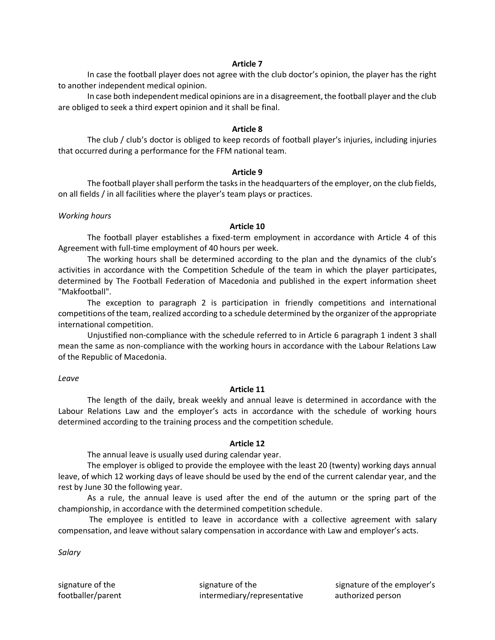### **Article 7**

In case the football player does not agree with the club doctor's opinion, the player has the right to another independent medical opinion.

In case both independent medical opinions are in a disagreement, the football player and the club are obliged to seek a third expert opinion and it shall be final.

#### **Article 8**

The club / club's doctor is obliged to keep records of football player's injuries, including injuries that occurred during a performance for the FFM national team.

#### **Article 9**

The football player shall perform the tasks in the headquarters of the employer, on the club fields, on all fields / in all facilities where the player's team plays or practices.

#### *Working hours*

### **Article 10**

The football player establishes a fixed-term employment in accordance with Article 4 of this Agreement with full-time employment of 40 hours per week.

The working hours shall be determined according to the plan and the dynamics of the club's activities in accordance with the Competition Schedule of the team in which the player participates, determined by The Football Federation of Macedonia and published in the expert information sheet "Makfootball".

The exception to paragraph 2 is participation in friendly competitions and international competitions of the team, realized according to a schedule determined by the organizer of the appropriate international competition.

Unjustified non-compliance with the schedule referred to in Article 6 paragraph 1 indent 3 shall mean the same as non-compliance with the working hours in accordance with the Labour Relations Law of the Republic of Macedonia.

### *Leave*

## **Article 11**

The length of the daily, break weekly and annual leave is determined in accordance with the Labour Relations Law and the employer's acts in accordance with the schedule of working hours determined according to the training process and the competition schedule.

### **Article 12**

The annual leave is usually used during calendar year.

The employer is obliged to provide the employee with the least 20 (twenty) working days annual leave, of which 12 working days of leave should be used by the end of the current calendar year, and the rest by June 30 the following year.

As a rule, the annual leave is used after the end of the autumn or the spring part of the championship, in accordance with the determined competition schedule.

The employee is entitled to leave in accordance with a collective agreement with salary compensation, and leave without salary compensation in accordance with Law and employer's acts.

*Salary*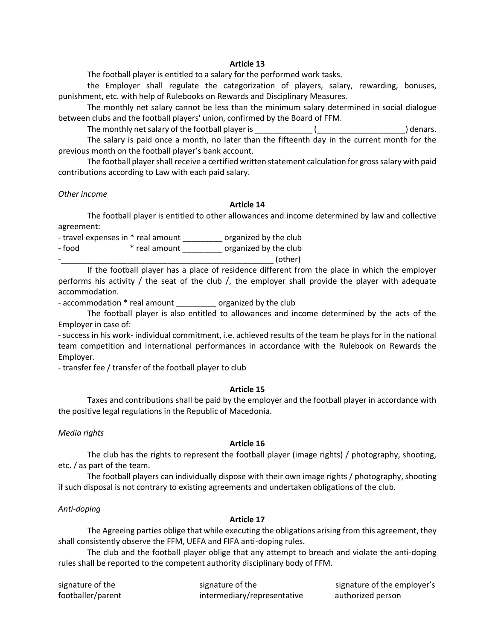### **Article 13**

The football player is entitled to a salary for the performed work tasks.

the Employer shall regulate the categorization of players, salary, rewarding, bonuses, punishment, etc. with help of Rulebooks on Rewards and Disciplinary Measures.

The monthly net salary cannot be less than the minimum salary determined in social dialogue between clubs and the football players' union, confirmed by the Board of FFM.

The monthly net salary of the football player is \_\_\_\_\_\_\_\_\_\_\_\_\_ (\_\_\_\_\_\_\_\_\_\_\_\_\_\_\_\_\_\_\_\_) denars.

The salary is paid once a month, no later than the fifteenth day in the current month for the previous month on the football player's bank account.

The football player shall receive a certified written statement calculation for gross salary with paid contributions according to Law with each paid salary.

#### *Other income*

#### **Article 14**

The football player is entitled to other allowances and income determined by law and collective agreement:

- travel expenses in \* real amount \_\_\_\_\_\_\_\_\_ organized by the club - food \* real amount \_\_\_\_\_\_\_\_\_ organized by the club  $\sim$  (other)

If the football player has a place of residence different from the place in which the employer performs his activity / the seat of the club /, the employer shall provide the player with adequate accommodation.

- accommodation \* real amount \_\_\_\_\_\_\_\_\_\_ organized by the club

The football player is also entitled to allowances and income determined by the acts of the Employer in case of:

-success in his work- individual commitment, i.e. achieved results of the team he plays for in the national team competition and international performances in accordance with the Rulebook on Rewards the Employer.

- transfer fee / transfer of the football player to club

### **Article 15**

Taxes and contributions shall be paid by the employer and the football player in accordance with the positive legal regulations in the Republic of Macedonia.

### *Media rights*

### **Article 16**

The club has the rights to represent the football player (image rights) / photography, shooting, etc. / as part of the team.

The football players can individually dispose with their own image rights / photography, shooting if such disposal is not contrary to existing agreements and undertaken obligations of the club.

### *Anti-doping*

## **Article 17**

The Agreeing parties oblige that while executing the obligations arising from this agreement, they shall consistently observe the FFM, UEFA and FIFA anti-doping rules.

The club and the football player oblige that any attempt to breach and violate the anti-doping rules shall be reported to the competent authority disciplinary body of FFM.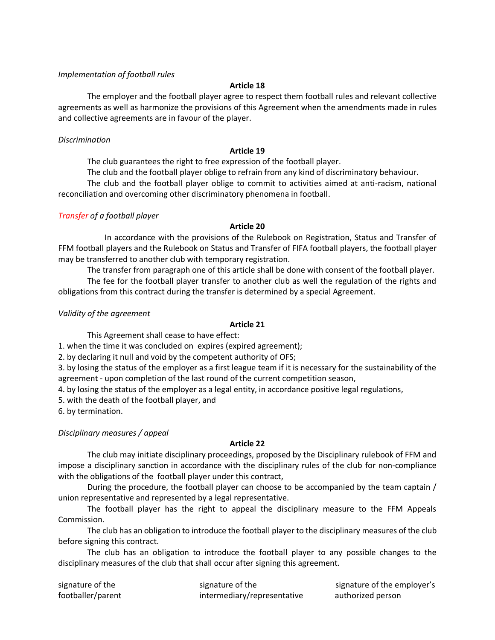### *Implementation of football rules*

### **Article 18**

The employer and the football player agree to respect them football rules and relevant collective agreements as well as harmonize the provisions of this Agreement when the amendments made in rules and collective agreements are in favour of the player.

### *Discrimination*

### **Article 19**

The club guarantees the right to free expression of the football player.

The club and the football player oblige to refrain from any kind of discriminatory behaviour.

The club and the football player oblige to commit to activities aimed at anti-racism, national reconciliation and overcoming other discriminatory phenomena in football.

## *Transfer of a football player*

## **Article 20**

In accordance with the provisions of the Rulebook on Registration, Status and Transfer of FFM football players and the Rulebook on Status and Transfer of FIFA football players, the football player may be transferred to another club with temporary registration.

The transfer from paragraph one of this article shall be done with consent of the football player.

The fee for the football player transfer to another club as well the regulation of the rights and obligations from this contract during the transfer is determined by a special Agreement.

*Validity of the agreement*

## **Article 21**

This Agreement shall cease to have effect:

1. when the time it was concluded on expires (expired agreement);

2. by declaring it null and void by the competent authority of OFS;

3. by losing the status of the employer as a first league team if it is necessary for the sustainability of the agreement - upon completion of the last round of the current competition season,

4. by losing the status of the employer as a legal entity, in accordance positive legal regulations,

5. with the death of the football player, and

6. by termination.

## *Disciplinary measures / appeal*

## **Article 22**

The club may initiate disciplinary proceedings, proposed by the Disciplinary rulebook of FFM and impose a disciplinary sanction in accordance with the disciplinary rules of the club for non-compliance with the obligations of the football player under this contract,

During the procedure, the football player can choose to be accompanied by the team captain / union representative and represented by a legal representative.

The football player has the right to appeal the disciplinary measure to the FFM Appeals Commission.

The club has an obligation to introduce the football player to the disciplinary measures of the club before signing this contract.

The club has an obligation to introduce the football player to any possible changes to the disciplinary measures of the club that shall occur after signing this agreement.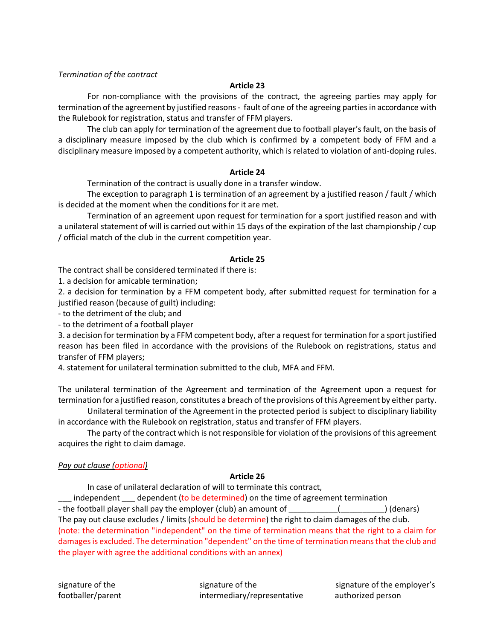## *Termination of the contract*

## **Article 23**

For non-compliance with the provisions of the contract, the agreeing parties may apply for termination of the agreement by justified reasons - fault of one of the agreeing parties in accordance with the Rulebook for registration, status and transfer of FFM players.

The club can apply for termination of the agreement due to football player's fault, on the basis of a disciplinary measure imposed by the club which is confirmed by a competent body of FFM and a disciplinary measure imposed by a competent authority, which is related to violation of anti-doping rules.

### **Article 24**

Termination of the contract is usually done in a transfer window.

The exception to paragraph 1 is termination of an agreement by a justified reason / fault / which is decided at the moment when the conditions for it are met.

Termination of an agreement upon request for termination for a sport justified reason and with a unilateral statement of will is carried out within 15 days of the expiration of the last championship / cup / official match of the club in the current competition year.

### **Article 25**

The contract shall be considered terminated if there is:

1. a decision for amicable termination;

2. a decision for termination by a FFM competent body, after submitted request for termination for a justified reason (because of guilt) including:

- to the detriment of the club; and

- to the detriment of a football player

3. a decision for termination by a FFM competent body, after a request for termination for a sport justified reason has been filed in accordance with the provisions of the Rulebook on registrations, status and transfer of FFM players;

4. statement for unilateral termination submitted to the club, MFA and FFM.

The unilateral termination of the Agreement and termination of the Agreement upon a request for termination for a justified reason, constitutes a breach of the provisions of this Agreement by either party.

Unilateral termination of the Agreement in the protected period is subject to disciplinary liability in accordance with the Rulebook on registration, status and transfer of FFM players.

The party of the contract which is not responsible for violation of the provisions of this agreement acquires the right to claim damage.

# *Pay out clause (optional)*

## **Article 26**

In case of unilateral declaration of will to terminate this contract, independent dependent (to be determined) on the time of agreement termination - the football player shall pay the employer (club) an amount of  $\qquad \qquad$  (  $\qquad \qquad$  ) (denars) The pay out clause excludes / limits (should be determine) the right to claim damages of the club. (note: the determination "independent" on the time of termination means that the right to a claim for damages is excluded. The determination "dependent" on the time of termination means that the club and the player with agree the additional conditions with an annex)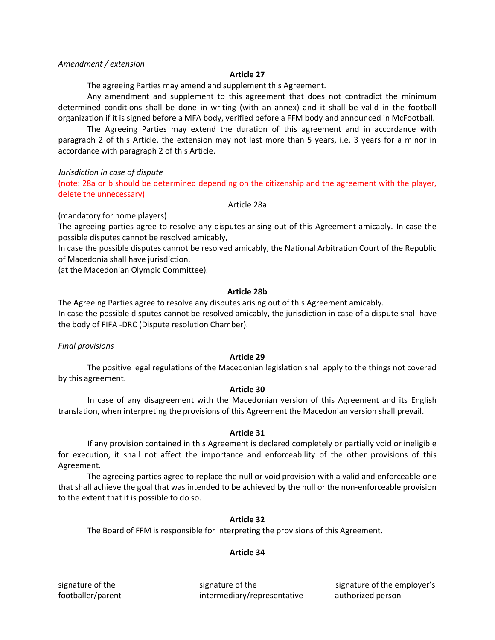### *Amendment / extension*

### **Article 27**

The agreeing Parties may amend and supplement this Agreement.

Any amendment and supplement to this agreement that does not contradict the minimum determined conditions shall be done in writing (with an annex) and it shall be valid in the football organization if it is signed before a MFA body, verified before a FFM body and announced in McFootball.

The Agreeing Parties may extend the duration of this agreement and in accordance with paragraph 2 of this Article, the extension may not last more than 5 years, i.e. 3 years for a minor in accordance with paragraph 2 of this Article.

### *Jurisdiction in case of dispute*

(note: 28a or b should be determined depending on the citizenship and the agreement with the player, delete the unnecessary)

### Article 28a

(mandatory for home players)

The agreeing parties agree to resolve any disputes arising out of this Agreement amicably. In case the possible disputes cannot be resolved amicably,

In case the possible disputes cannot be resolved amicably, the National Arbitration Court of the Republic of Macedonia shall have jurisdiction.

(at the Macedonian Olympic Committee).

### **Article 28b**

The Agreeing Parties agree to resolve any disputes arising out of this Agreement amicably. In case the possible disputes cannot be resolved amicably, the jurisdiction in case of a dispute shall have the body of FIFA -DRC (Dispute resolution Chamber).

### *Final provisions*

## **Article 29**

The positive legal regulations of the Macedonian legislation shall apply to the things not covered by this agreement.

### **Article 30**

In case of any disagreement with the Macedonian version of this Agreement and its English translation, when interpreting the provisions of this Agreement the Macedonian version shall prevail.

### **Article 31**

If any provision contained in this Agreement is declared completely or partially void or ineligible for execution, it shall not affect the importance and enforceability of the other provisions of this Agreement.

The agreeing parties agree to replace the null or void provision with a valid and enforceable one that shall achieve the goal that was intended to be achieved by the null or the non-enforceable provision to the extent that it is possible to do so.

## **Article 32**

The Board of FFM is responsible for interpreting the provisions of this Agreement.

## **Article 34**